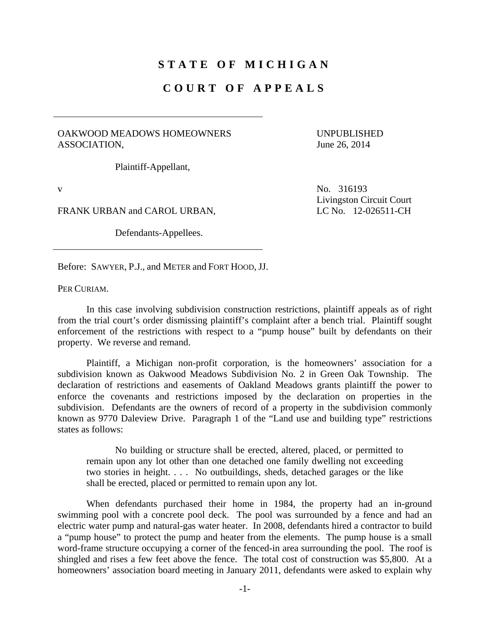## **STATE OF MICHIGAN**

## **COURT OF APPEALS**

## OAKWOOD MEADOWS HOMEOWNERS ASSOCIATION,

UNPUBLISHED June 26, 2014

Plaintiff-Appellant,

FRANK URBAN and CAROL URBAN, LC No. 12-026511-CH

Defendants-Appellees.

v No. 316193 Livingston Circuit Court

Before: SAWYER, P.J., and METER and FORT HOOD, JJ.

PER CURIAM.

 In this case involving subdivision construction restrictions, plaintiff appeals as of right from the trial court's order dismissing plaintiff's complaint after a bench trial. Plaintiff sought enforcement of the restrictions with respect to a "pump house" built by defendants on their property. We reverse and remand.

 Plaintiff, a Michigan non-profit corporation, is the homeowners' association for a subdivision known as Oakwood Meadows Subdivision No. 2 in Green Oak Township. The declaration of restrictions and easements of Oakland Meadows grants plaintiff the power to enforce the covenants and restrictions imposed by the declaration on properties in the subdivision. Defendants are the owners of record of a property in the subdivision commonly known as 9770 Daleview Drive. Paragraph 1 of the "Land use and building type" restrictions states as follows:

 No building or structure shall be erected, altered, placed, or permitted to remain upon any lot other than one detached one family dwelling not exceeding two stories in height. . . . No outbuildings, sheds, detached garages or the like shall be erected, placed or permitted to remain upon any lot.

 When defendants purchased their home in 1984, the property had an in-ground swimming pool with a concrete pool deck. The pool was surrounded by a fence and had an electric water pump and natural-gas water heater. In 2008, defendants hired a contractor to build a "pump house" to protect the pump and heater from the elements. The pump house is a small word-frame structure occupying a corner of the fenced-in area surrounding the pool. The roof is shingled and rises a few feet above the fence. The total cost of construction was \$5,800. At a homeowners' association board meeting in January 2011, defendants were asked to explain why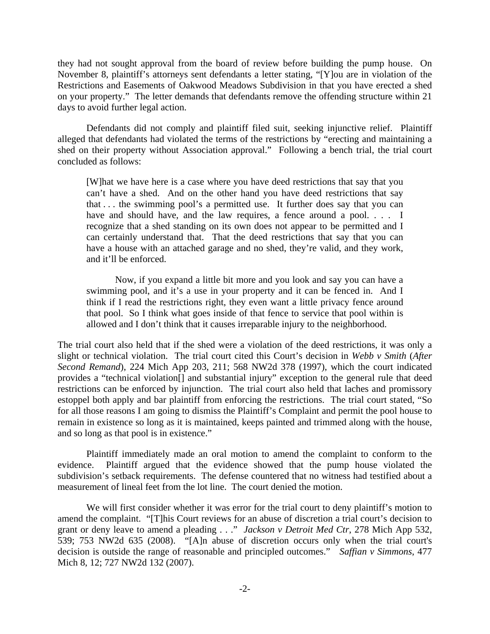they had not sought approval from the board of review before building the pump house. On November 8, plaintiff's attorneys sent defendants a letter stating, "[Y]ou are in violation of the Restrictions and Easements of Oakwood Meadows Subdivision in that you have erected a shed on your property." The letter demands that defendants remove the offending structure within 21 days to avoid further legal action.

 Defendants did not comply and plaintiff filed suit, seeking injunctive relief. Plaintiff alleged that defendants had violated the terms of the restrictions by "erecting and maintaining a shed on their property without Association approval." Following a bench trial, the trial court concluded as follows:

[W]hat we have here is a case where you have deed restrictions that say that you can't have a shed. And on the other hand you have deed restrictions that say that . . . the swimming pool's a permitted use. It further does say that you can have and should have, and the law requires, a fence around a pool. . . . I recognize that a shed standing on its own does not appear to be permitted and I can certainly understand that. That the deed restrictions that say that you can have a house with an attached garage and no shed, they're valid, and they work, and it'll be enforced.

 Now, if you expand a little bit more and you look and say you can have a swimming pool, and it's a use in your property and it can be fenced in. And I think if I read the restrictions right, they even want a little privacy fence around that pool. So I think what goes inside of that fence to service that pool within is allowed and I don't think that it causes irreparable injury to the neighborhood.

The trial court also held that if the shed were a violation of the deed restrictions, it was only a slight or technical violation. The trial court cited this Court's decision in *Webb v Smith* (*After Second Remand*), 224 Mich App 203, 211; 568 NW2d 378 (1997), which the court indicated provides a "technical violation[] and substantial injury" exception to the general rule that deed restrictions can be enforced by injunction. The trial court also held that laches and promissory estoppel both apply and bar plaintiff from enforcing the restrictions. The trial court stated, "So for all those reasons I am going to dismiss the Plaintiff's Complaint and permit the pool house to remain in existence so long as it is maintained, keeps painted and trimmed along with the house, and so long as that pool is in existence."

 Plaintiff immediately made an oral motion to amend the complaint to conform to the evidence. Plaintiff argued that the evidence showed that the pump house violated the subdivision's setback requirements. The defense countered that no witness had testified about a measurement of lineal feet from the lot line. The court denied the motion.

We will first consider whether it was error for the trial court to deny plaintiff's motion to amend the complaint. "[T]his Court reviews for an abuse of discretion a trial court's decision to grant or deny leave to amend a pleading . . ." *Jackson v Detroit Med Ctr*, 278 Mich App 532, 539; 753 NW2d 635 (2008). "[A]n abuse of discretion occurs only when the trial court's decision is outside the range of reasonable and principled outcomes." *Saffian v Simmons*, 477 Mich 8, 12; 727 NW2d 132 (2007).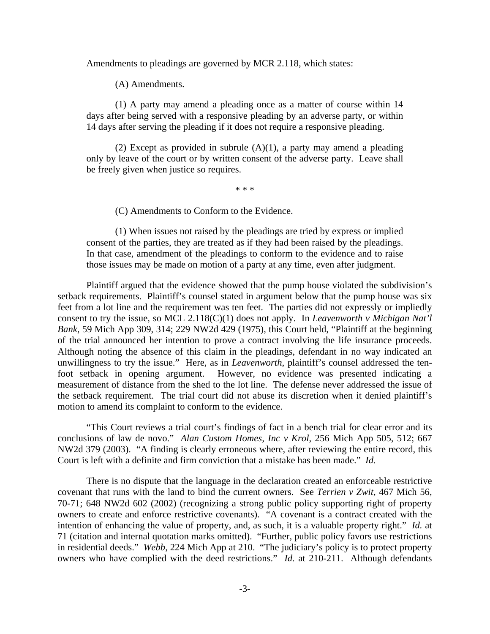Amendments to pleadings are governed by MCR 2.118, which states:

(A) Amendments.

 (1) A party may amend a pleading once as a matter of course within 14 days after being served with a responsive pleading by an adverse party, or within 14 days after serving the pleading if it does not require a responsive pleading.

(2) Except as provided in subrule  $(A)(1)$ , a party may amend a pleading only by leave of the court or by written consent of the adverse party. Leave shall be freely given when justice so requires.

\* \* \*

(C) Amendments to Conform to the Evidence.

 (1) When issues not raised by the pleadings are tried by express or implied consent of the parties, they are treated as if they had been raised by the pleadings. In that case, amendment of the pleadings to conform to the evidence and to raise those issues may be made on motion of a party at any time, even after judgment.

 Plaintiff argued that the evidence showed that the pump house violated the subdivision's setback requirements. Plaintiff's counsel stated in argument below that the pump house was six feet from a lot line and the requirement was ten feet. The parties did not expressly or impliedly consent to try the issue, so MCL 2.118(C)(1) does not apply. In *Leavenworth v Michigan Nat'l Bank*, 59 Mich App 309, 314; 229 NW2d 429 (1975), this Court held, "Plaintiff at the beginning of the trial announced her intention to prove a contract involving the life insurance proceeds. Although noting the absence of this claim in the pleadings, defendant in no way indicated an unwillingness to try the issue." Here, as in *Leavenworth*, plaintiff's counsel addressed the tenfoot setback in opening argument. However, no evidence was presented indicating a measurement of distance from the shed to the lot line. The defense never addressed the issue of the setback requirement. The trial court did not abuse its discretion when it denied plaintiff's motion to amend its complaint to conform to the evidence.

 "This Court reviews a trial court's findings of fact in a bench trial for clear error and its conclusions of law de novo." *Alan Custom Homes, Inc v Krol*, 256 Mich App 505, 512; 667 NW2d 379 (2003). "A finding is clearly erroneous where, after reviewing the entire record, this Court is left with a definite and firm conviction that a mistake has been made." *Id.*

 There is no dispute that the language in the declaration created an enforceable restrictive covenant that runs with the land to bind the current owners. See *Terrien v Zwit*, 467 Mich 56, 70-71; 648 NW2d 602 (2002) (recognizing a strong public policy supporting right of property owners to create and enforce restrictive covenants). "A covenant is a contract created with the intention of enhancing the value of property, and, as such, it is a valuable property right." *Id.* at 71 (citation and internal quotation marks omitted). "Further, public policy favors use restrictions in residential deeds." *Webb*, 224 Mich App at 210."The judiciary's policy is to protect property owners who have complied with the deed restrictions." *Id*. at 210-211. Although defendants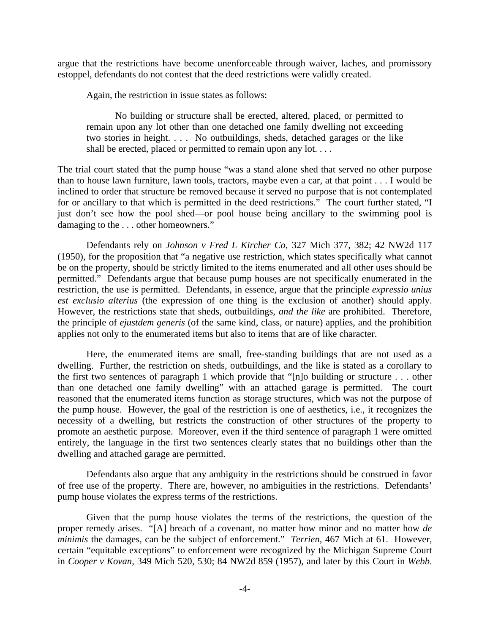argue that the restrictions have become unenforceable through waiver, laches, and promissory estoppel, defendants do not contest that the deed restrictions were validly created.

Again, the restriction in issue states as follows:

 No building or structure shall be erected, altered, placed, or permitted to remain upon any lot other than one detached one family dwelling not exceeding two stories in height. . . . No outbuildings, sheds, detached garages or the like shall be erected, placed or permitted to remain upon any lot. . . .

The trial court stated that the pump house "was a stand alone shed that served no other purpose than to house lawn furniture, lawn tools, tractors, maybe even a car, at that point . . . I would be inclined to order that structure be removed because it served no purpose that is not contemplated for or ancillary to that which is permitted in the deed restrictions." The court further stated, "I just don't see how the pool shed—or pool house being ancillary to the swimming pool is damaging to the ... other homeowners."

 Defendants rely on *Johnson v Fred L Kircher Co*, 327 Mich 377, 382; 42 NW2d 117 (1950), for the proposition that "a negative use restriction, which states specifically what cannot be on the property, should be strictly limited to the items enumerated and all other uses should be permitted." Defendants argue that because pump houses are not specifically enumerated in the restriction, the use is permitted. Defendants, in essence, argue that the principle *expressio unius est exclusio alterius* (the expression of one thing is the exclusion of another) should apply. However, the restrictions state that sheds, outbuildings, *and the like* are prohibited. Therefore, the principle of *ejustdem generis* (of the same kind, class, or nature) applies, and the prohibition applies not only to the enumerated items but also to items that are of like character.

 Here, the enumerated items are small, free-standing buildings that are not used as a dwelling. Further, the restriction on sheds, outbuildings, and the like is stated as a corollary to the first two sentences of paragraph 1 which provide that "[n]o building or structure . . . other than one detached one family dwelling" with an attached garage is permitted. The court reasoned that the enumerated items function as storage structures, which was not the purpose of the pump house. However, the goal of the restriction is one of aesthetics, i.e., it recognizes the necessity of a dwelling, but restricts the construction of other structures of the property to promote an aesthetic purpose. Moreover, even if the third sentence of paragraph 1 were omitted entirely, the language in the first two sentences clearly states that no buildings other than the dwelling and attached garage are permitted.

 Defendants also argue that any ambiguity in the restrictions should be construed in favor of free use of the property. There are, however, no ambiguities in the restrictions. Defendants' pump house violates the express terms of the restrictions.

 Given that the pump house violates the terms of the restrictions, the question of the proper remedy arises. "[A] breach of a covenant, no matter how minor and no matter how *de minimis* the damages, can be the subject of enforcement." *Terrien*, 467 Mich at 61. However, certain "equitable exceptions" to enforcement were recognized by the Michigan Supreme Court in *Cooper v Kovan*, 349 Mich 520, 530; 84 NW2d 859 (1957), and later by this Court in *Webb*.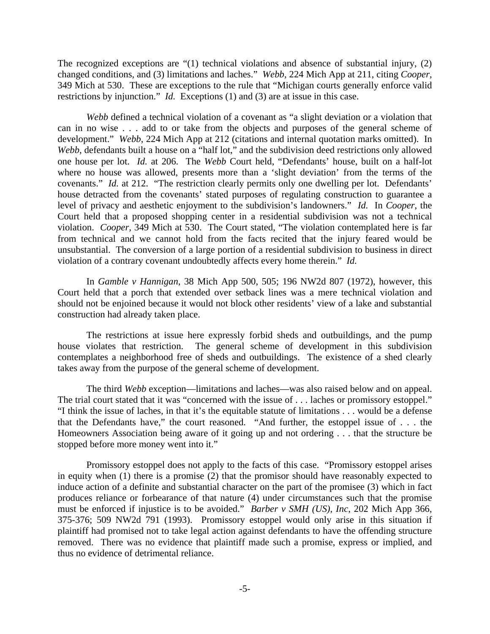The recognized exceptions are "(1) technical violations and absence of substantial injury, (2) changed conditions, and (3) limitations and laches." *Webb*, 224 Mich App at 211, citing *Cooper*, 349 Mich at 530. These are exceptions to the rule that "Michigan courts generally enforce valid restrictions by injunction." *Id.* Exceptions (1) and (3) are at issue in this case.

*Webb* defined a technical violation of a covenant as "a slight deviation or a violation that can in no wise . . . add to or take from the objects and purposes of the general scheme of development." *Webb*, 224 Mich App at 212 (citations and internal quotation marks omitted). In *Webb*, defendants built a house on a "half lot," and the subdivision deed restrictions only allowed one house per lot. *Id.* at 206. The *Webb* Court held, "Defendants' house, built on a half-lot where no house was allowed, presents more than a 'slight deviation' from the terms of the covenants." *Id.* at 212. "The restriction clearly permits only one dwelling per lot. Defendants' house detracted from the covenants' stated purposes of regulating construction to guarantee a level of privacy and aesthetic enjoyment to the subdivision's landowners." *Id.* In *Cooper*, the Court held that a proposed shopping center in a residential subdivision was not a technical violation. *Cooper,* 349 Mich at 530. The Court stated, "The violation contemplated here is far from technical and we cannot hold from the facts recited that the injury feared would be unsubstantial. The conversion of a large portion of a residential subdivision to business in direct violation of a contrary covenant undoubtedly affects every home therein." *Id.*

 In *Gamble v Hannigan*, 38 Mich App 500, 505; 196 NW2d 807 (1972), however, this Court held that a porch that extended over setback lines was a mere technical violation and should not be enjoined because it would not block other residents' view of a lake and substantial construction had already taken place.

 The restrictions at issue here expressly forbid sheds and outbuildings, and the pump house violates that restriction. The general scheme of development in this subdivision contemplates a neighborhood free of sheds and outbuildings. The existence of a shed clearly takes away from the purpose of the general scheme of development.

 The third *Webb* exception—limitations and laches—was also raised below and on appeal. The trial court stated that it was "concerned with the issue of . . . laches or promissory estoppel." "I think the issue of laches, in that it's the equitable statute of limitations . . . would be a defense that the Defendants have," the court reasoned. "And further, the estoppel issue of . . . the Homeowners Association being aware of it going up and not ordering . . . that the structure be stopped before more money went into it."

 Promissory estoppel does not apply to the facts of this case. "Promissory estoppel arises in equity when (1) there is a promise (2) that the promisor should have reasonably expected to induce action of a definite and substantial character on the part of the promisee (3) which in fact produces reliance or forbearance of that nature (4) under circumstances such that the promise must be enforced if injustice is to be avoided." *Barber v SMH (US), Inc*, 202 Mich App 366, 375-376; 509 NW2d 791 (1993). Promissory estoppel would only arise in this situation if plaintiff had promised not to take legal action against defendants to have the offending structure removed. There was no evidence that plaintiff made such a promise, express or implied, and thus no evidence of detrimental reliance.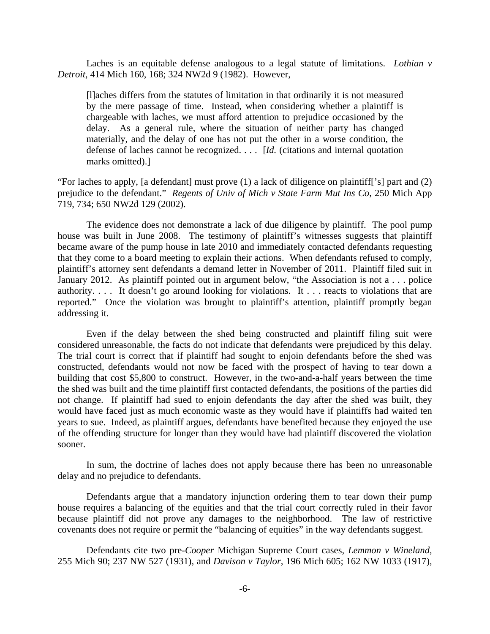Laches is an equitable defense analogous to a legal statute of limitations. *Lothian v Detroit*, 414 Mich 160, 168; 324 NW2d 9 (1982). However,

[l]aches differs from the statutes of limitation in that ordinarily it is not measured by the mere passage of time. Instead, when considering whether a plaintiff is chargeable with laches, we must afford attention to prejudice occasioned by the delay. As a general rule, where the situation of neither party has changed materially, and the delay of one has not put the other in a worse condition, the defense of laches cannot be recognized. . . . [*Id.* (citations and internal quotation marks omitted).]

"For laches to apply, [a defendant] must prove (1) a lack of diligence on plaintiff['s] part and (2) prejudice to the defendant." *Regents of Univ of Mich v State Farm Mut Ins Co*, 250 Mich App 719, 734; 650 NW2d 129 (2002).

 The evidence does not demonstrate a lack of due diligence by plaintiff. The pool pump house was built in June 2008. The testimony of plaintiff's witnesses suggests that plaintiff became aware of the pump house in late 2010 and immediately contacted defendants requesting that they come to a board meeting to explain their actions. When defendants refused to comply, plaintiff's attorney sent defendants a demand letter in November of 2011. Plaintiff filed suit in January 2012. As plaintiff pointed out in argument below, "the Association is not a . . . police authority. . . . It doesn't go around looking for violations. It . . . reacts to violations that are reported." Once the violation was brought to plaintiff's attention, plaintiff promptly began addressing it.

 Even if the delay between the shed being constructed and plaintiff filing suit were considered unreasonable, the facts do not indicate that defendants were prejudiced by this delay. The trial court is correct that if plaintiff had sought to enjoin defendants before the shed was constructed, defendants would not now be faced with the prospect of having to tear down a building that cost \$5,800 to construct. However, in the two-and-a-half years between the time the shed was built and the time plaintiff first contacted defendants, the positions of the parties did not change. If plaintiff had sued to enjoin defendants the day after the shed was built, they would have faced just as much economic waste as they would have if plaintiffs had waited ten years to sue. Indeed, as plaintiff argues, defendants have benefited because they enjoyed the use of the offending structure for longer than they would have had plaintiff discovered the violation sooner.

 In sum, the doctrine of laches does not apply because there has been no unreasonable delay and no prejudice to defendants.

 Defendants argue that a mandatory injunction ordering them to tear down their pump house requires a balancing of the equities and that the trial court correctly ruled in their favor because plaintiff did not prove any damages to the neighborhood. The law of restrictive covenants does not require or permit the "balancing of equities" in the way defendants suggest.

 Defendants cite two pre-*Cooper* Michigan Supreme Court cases, *Lemmon v Wineland*, 255 Mich 90; 237 NW 527 (1931), and *Davison v Taylor*, 196 Mich 605; 162 NW 1033 (1917),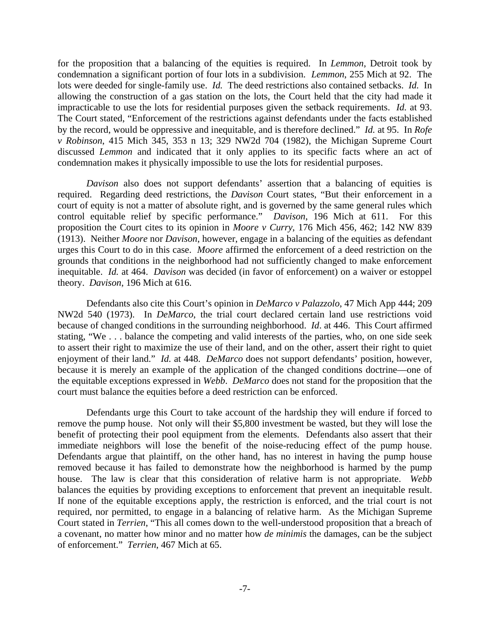for the proposition that a balancing of the equities is required. In *Lemmon*, Detroit took by condemnation a significant portion of four lots in a subdivision. *Lemmon*, 255 Mich at 92. The lots were deeded for single-family use. *Id.* The deed restrictions also contained setbacks. *Id.* In allowing the construction of a gas station on the lots, the Court held that the city had made it impracticable to use the lots for residential purposes given the setback requirements. *Id.* at 93. The Court stated, "Enforcement of the restrictions against defendants under the facts established by the record, would be oppressive and inequitable, and is therefore declined." *Id.* at 95. In *Rofe v Robinson*, 415 Mich 345, 353 n 13; 329 NW2d 704 (1982), the Michigan Supreme Court discussed *Lemmon* and indicated that it only applies to its specific facts where an act of condemnation makes it physically impossible to use the lots for residential purposes.

*Davison* also does not support defendants' assertion that a balancing of equities is required. Regarding deed restrictions, the *Davison* Court states, "But their enforcement in a court of equity is not a matter of absolute right, and is governed by the same general rules which control equitable relief by specific performance." *Davison*, 196 Mich at 611. For this proposition the Court cites to its opinion in *Moore v Curry*, 176 Mich 456, 462; 142 NW 839 (1913). Neither *Moore* nor *Davison*, however, engage in a balancing of the equities as defendant urges this Court to do in this case. *Moore* affirmed the enforcement of a deed restriction on the grounds that conditions in the neighborhood had not sufficiently changed to make enforcement inequitable. *Id.* at 464. *Davison* was decided (in favor of enforcement) on a waiver or estoppel theory. *Davison*, 196 Mich at 616.

 Defendants also cite this Court's opinion in *DeMarco v Palazzolo*, 47 Mich App 444; 209 NW2d 540 (1973). In *DeMarco*, the trial court declared certain land use restrictions void because of changed conditions in the surrounding neighborhood. *Id*. at 446. This Court affirmed stating, "We . . . balance the competing and valid interests of the parties, who, on one side seek to assert their right to maximize the use of their land, and on the other, assert their right to quiet enjoyment of their land." *Id.* at 448. *DeMarco* does not support defendants' position, however, because it is merely an example of the application of the changed conditions doctrine—one of the equitable exceptions expressed in *Webb*. *DeMarco* does not stand for the proposition that the court must balance the equities before a deed restriction can be enforced.

 Defendants urge this Court to take account of the hardship they will endure if forced to remove the pump house. Not only will their \$5,800 investment be wasted, but they will lose the benefit of protecting their pool equipment from the elements. Defendants also assert that their immediate neighbors will lose the benefit of the noise-reducing effect of the pump house. Defendants argue that plaintiff, on the other hand, has no interest in having the pump house removed because it has failed to demonstrate how the neighborhood is harmed by the pump house. The law is clear that this consideration of relative harm is not appropriate. *Webb* balances the equities by providing exceptions to enforcement that prevent an inequitable result. If none of the equitable exceptions apply, the restriction is enforced, and the trial court is not required, nor permitted, to engage in a balancing of relative harm. As the Michigan Supreme Court stated in *Terrien*, "This all comes down to the well-understood proposition that a breach of a covenant, no matter how minor and no matter how *de minimis* the damages, can be the subject of enforcement." *Terrien*, 467 Mich at 65.